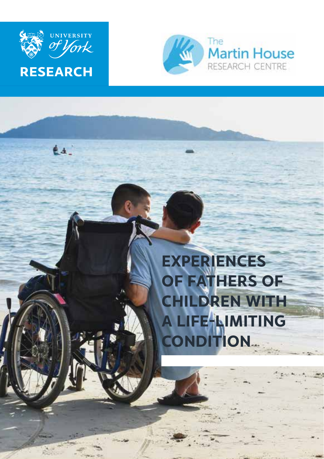

é a



# **EXPERIENCES OF FATHERS OF CHILDREN WITH A LIFE-LIMITING CONDITION**